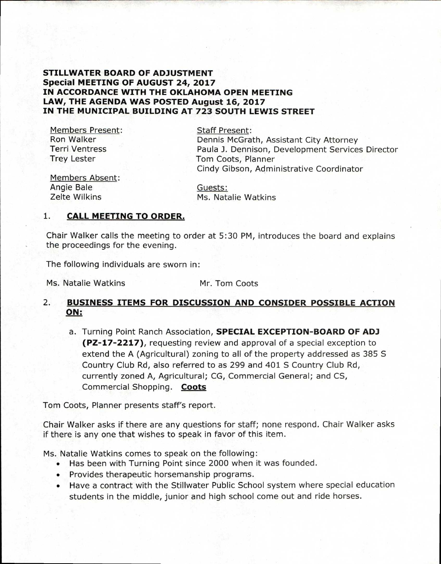## **STILLWATER BOARD OF ADJUSTMENT Special MEETING OF AUGUST 24, 2017 IN ACCORDANCE WITH THE OKLAHOMA OPEN MEETING LAW, THE AGENDA WAS POSTED August 16, 2017 IN THE MUNICIPAL BUILDING AT 723 SOUTH LEWIS STREET**

Members Present: Ron Walker Terri Ventress Trey Lester

Staff Present: Dennis McGrath, Assistant City Attorney Paula J. Dennison, Development Services Director Tom Coots, Planner Cindy Gibson, Administrative Coordinator

Members Absent: Angie Bale Zelte Wilkins

Guests: Ms. Natalie Watkins

## **1. CALL MEETING TO ORDER.**

Chair Walker calls the meeting to order at 5:30 PM, introduces the board and explains the proceedings for the evening.

The following individuals are sworn in:

Ms. Natalie Watkins Mr. Tom Coots

## **2. BUSINESS ITEMS FOR DISCUSSION AND CONSIDER POSSIBLE ACTION ON:**

a. Turning Point Ranch Association, **SPECIAL EXCEPTION-BOARD OF ADJ (PZ-17-2217),** requesting review and approval of a special exception to extend the A (Agricultural) zoning to all of the property addressed as 385 S Country Club Rd, also referred to as 299 and 401 S Country Club Rd, currently zoned A, Agricultural; CG, Commercial General; and CS, Commercial Shopping. **Coots** 

Tom Coots, Planner presents staff's report.

Chair Walker asks if there are any questions for staff; none respond. Chair Walker asks if there is any one that wishes to speak in favor of this item.

Ms. Natalie Watkins comes to speak on the following:

- Has been with Turning Point since 2000 when it was founded.
- Provides therapeutic horsemanship programs.
- Have a contract with the Stillwater Public School system where special education students in the middle, junior and high school come out and ride horses.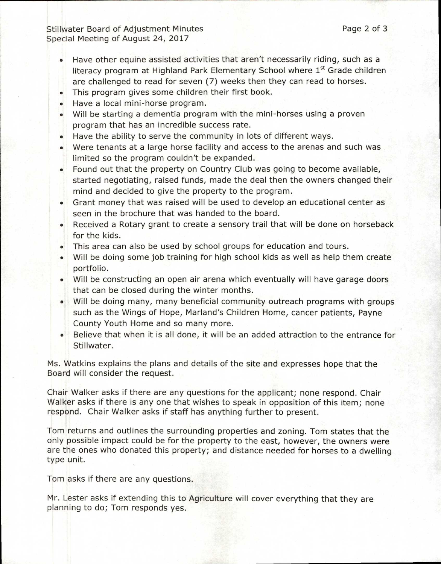Stillwater Board of Adjustment Minutes **Page 2 of 3** and 2 of 3 Special Meeting of August 24, 2017

- Have other equine assisted activities that aren't necessarily riding, such as a literacy program at Highland Park Elementary School where 1<sup>st</sup> Grade children are challenged to read for seven (7) weeks then they can read to horses.
- This program gives some children their first book.
- Have a local mini-horse program.
- Will be starting a dementia program with the mini-horses using a proven program that has an incredible success rate.
- Have the ability to serve the community in lots of different ways.
- Were tenants at a large horse facility and access to the arenas and such was limited so the program couldn't be expanded.
- Found out that the property on Country Club was going to become available, started negotiating, raised funds, made the deal then the owners changed their mind and decided to give the property to the program.
- Grant money that was raised will be used to develop an educational center as seen in the brochure that was handed to the board.
- Received a Rotary grant to create a sensory trail that will be done on horseback for the kids.
- This area can also be used by school groups for education and tours.
- Will be doing some job training for high school kids as well as help them create portfolio.
- Will be constructing an open air arena which eventually will have garage doors that can be closed during the winter months.
- Will be doing many, many beneficial community outreach programs with groups such as the Wings of Hope, Marland's Children Home, cancer patients, Payne County Youth Home and so many more.
- Believe that when it is all done, it will be an added attraction to the entrance for Stillwater.

Ms. Watkins explains the plans and details of the site and expresses hope that the Board will consider the request.

Chair Walker asks if there are any questions for the applicant; none respond. Chair Walker asks if there is any one that wishes to speak in opposition of this item; none respond. Chair Walker asks if staff has anything further to present.

Tom returns and outlines the surrounding properties and zoning. Tom states that the only possible impact could be for the property to the east, however, the owners were are the ones who donated this property; and distance needed for horses to a dwelling type unit.

Tom asks if there are any questions.

Mr. Lester asks if extending this to Agriculture will cover everything that they are planning to do; Tom responds yes.